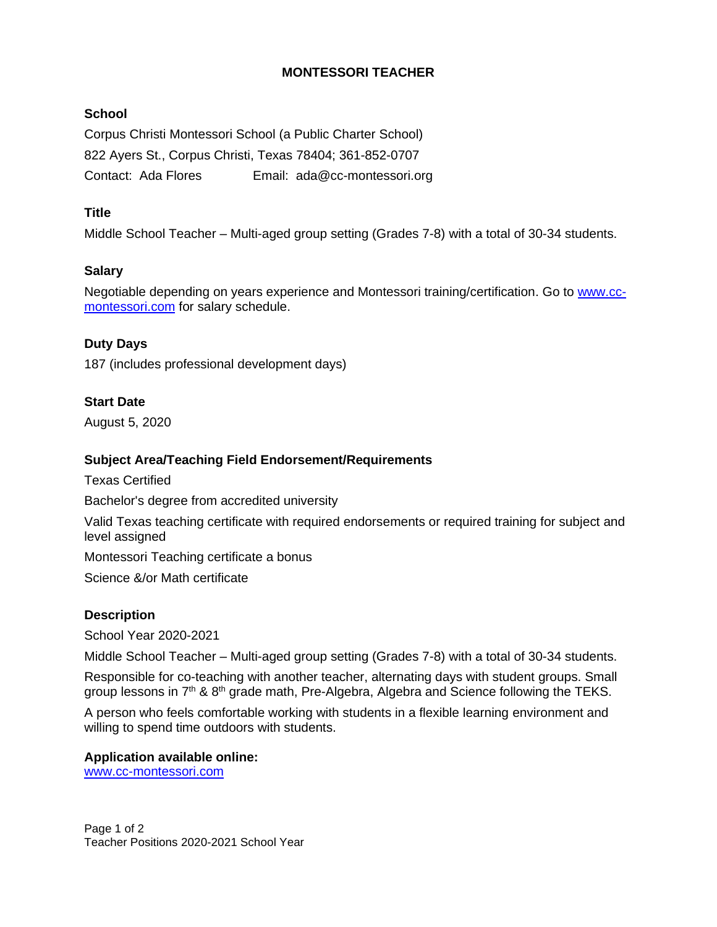# **MONTESSORI TEACHER**

## **School**

Corpus Christi Montessori School (a Public Charter School) 822 Ayers St., Corpus Christi, Texas 78404; 361-852-0707 Contact: Ada Flores Email: ada@cc-montessori.org

# **Title**

Middle School Teacher – Multi-aged group setting (Grades 7-8) with a total of 30-34 students.

## **Salary**

Negotiable depending on years experience and Montessori training/certification. Go to [www.cc](http://www.cc-montessori.com/)[montessori.com](http://www.cc-montessori.com/) for salary schedule.

## **Duty Days**

187 (includes professional development days)

## **Start Date**

August 5, 2020

## **Subject Area/Teaching Field Endorsement/Requirements**

Texas Certified

Bachelor's degree from accredited university

Valid Texas teaching certificate with required endorsements or required training for subject and level assigned

Montessori Teaching certificate a bonus

Science &/or Math certificate

#### **Description**

School Year 2020-2021

Middle School Teacher – Multi-aged group setting (Grades 7-8) with a total of 30-34 students.

Responsible for co-teaching with another teacher, alternating days with student groups. Small group lessons in  $7<sup>th</sup>$  &  $8<sup>th</sup>$  grade math, Pre-Algebra, Algebra and Science following the TEKS.

A person who feels comfortable working with students in a flexible learning environment and willing to spend time outdoors with students.

#### **Application available online:** [www.cc-montessori.com](http://www.cc-montessori.com/)

Page 1 of 2 Teacher Positions 2020-2021 School Year